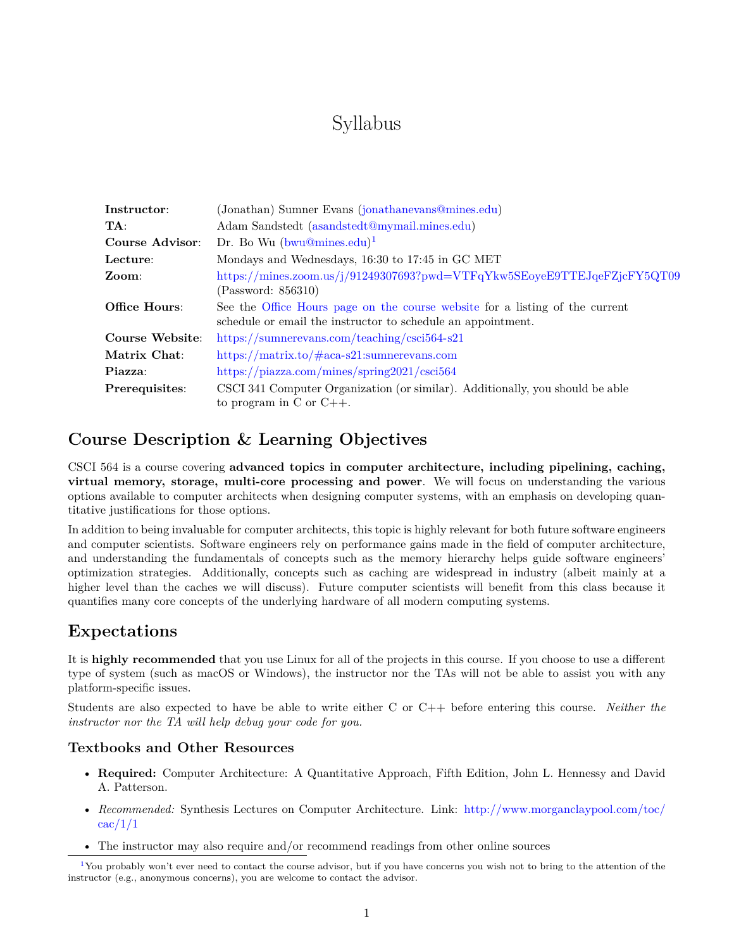# <span id="page-0-1"></span>Syllabus

| Instructor:     | (Jonathan) Sumner Evans (jonathanevans@mines.edu)                                                                                            |  |
|-----------------|----------------------------------------------------------------------------------------------------------------------------------------------|--|
| TA:             | Adam Sandstedt (asandstedt@mymail.mines.edu)                                                                                                 |  |
| Course Advisor: | Dr. Bo Wu $(bwu@mines.edu)^1$                                                                                                                |  |
| Lecture:        | Mondays and Wednesdays, 16:30 to 17:45 in GC MET                                                                                             |  |
| Zoom:           | https://mines.zoom.us/j/91249307693?pwd=VTFqYkw5SEoyeE9TTEJqeFZjcFY5QT09<br>(Password: 856310)                                               |  |
| Office Hours:   | See the Office Hours page on the course website for a listing of the current<br>schedule or email the instructor to schedule an appointment. |  |
| Course Website: | https://sumnerevans.com/teaching/csci564-s21                                                                                                 |  |
| Matrix Chat:    | https://matrix.to/ $\#$ aca-s21:sumnerevans.com                                                                                              |  |
| Piazza:         | https://piazza.com/mines/spring2021/csci564                                                                                                  |  |
| Prerequisites:  | CSCI 341 Computer Organization (or similar). Additionally, you should be able<br>to program in $C$ or $C++$ .                                |  |

#### **Course Description & Learning Objectives**

CSCI 564 is a course covering **advanced topics in computer architecture, including pipelining, caching, virtual memory, storage, multi-core processing and power**. We will focus on understanding the various options available to computer architects when designing computer systems, with an emphasis on developing quantitative justifications for those options.

In addition to being invaluable for computer architects, this topic is highly relevant for both future software engineers and computer scientists. Software engineers rely on performance gains made in the field of computer architecture, and understanding the fundamentals of concepts such as the memory hierarchy helps guide software engineers' optimization strategies. Additionally, concepts such as caching are widespread in industry (albeit mainly at a higher level than the caches we will discuss). Future computer scientists will benefit from this class because it quantifies many core concepts of the underlying hardware of all modern computing systems.

### **Expectations**

It is **highly recommended** that you use Linux for all of the projects in this course. If you choose to use a different type of system (such as macOS or Windows), the instructor nor the TAs will not be able to assist you with any platform-specific issues.

Students are also expected to have be able to write either C or C++ before entering this course. *Neither the instructor nor the TA will help debug your code for you.*

#### **Textbooks and Other Resources**

- **Required:** Computer Architecture: A Quantitative Approach, Fifth Edition, John L. Hennessy and David A. Patterson.
- *Recommended:* Synthesis Lectures on Computer Architecture. Link: [http://www.morganclaypool.com/toc/](http://www.morganclaypool.com/toc/cac/1/1)  $\operatorname{cac}/1/1$
- The instructor may also require and/or recommend readings from other online sources

<span id="page-0-0"></span><sup>&</sup>lt;sup>[1](#page-0-1)</sup>You probably won't ever need to contact the course advisor, but if you have concerns you wish not to bring to the attention of the instructor (e.g., anonymous concerns), you are welcome to contact the advisor.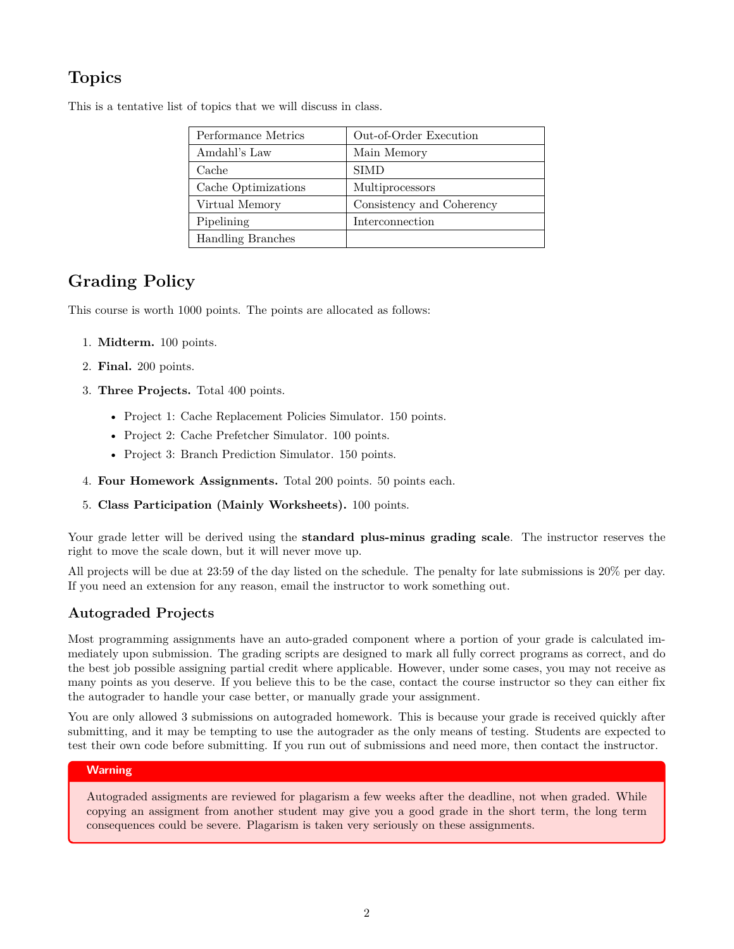## **Topics**

| Performance Metrics      | Out-of-Order Execution    |
|--------------------------|---------------------------|
| Amdahl's Law             | Main Memory               |
| Cache                    | <b>SIMD</b>               |
| Cache Optimizations      | Multiprocessors           |
| Virtual Memory           | Consistency and Coherency |
| Pipelining               | Interconnection           |
| <b>Handling Branches</b> |                           |

This is a tentative list of topics that we will discuss in class.

### **Grading Policy**

This course is worth 1000 points. The points are allocated as follows:

- 1. **Midterm.** 100 points.
- 2. **Final.** 200 points.
- 3. **Three Projects.** Total 400 points.
	- Project 1: Cache Replacement Policies Simulator. 150 points.
	- Project 2: Cache Prefetcher Simulator. 100 points.
	- Project 3: Branch Prediction Simulator. 150 points.
- 4. **Four Homework Assignments.** Total 200 points. 50 points each.
- 5. **Class Participation (Mainly Worksheets).** 100 points.

Your grade letter will be derived using the **standard plus-minus grading scale**. The instructor reserves the right to move the scale down, but it will never move up.

All projects will be due at 23:59 of the day listed on the schedule. The penalty for late submissions is 20% per day. If you need an extension for any reason, email the instructor to work something out.

#### **Autograded Projects**

Most programming assignments have an auto-graded component where a portion of your grade is calculated immediately upon submission. The grading scripts are designed to mark all fully correct programs as correct, and do the best job possible assigning partial credit where applicable. However, under some cases, you may not receive as many points as you deserve. If you believe this to be the case, contact the course instructor so they can either fix the autograder to handle your case better, or manually grade your assignment.

You are only allowed 3 submissions on autograded homework. This is because your grade is received quickly after submitting, and it may be tempting to use the autograder as the only means of testing. Students are expected to test their own code before submitting. If you run out of submissions and need more, then contact the instructor.

#### **Warning**

Autograded assigments are reviewed for plagarism a few weeks after the deadline, not when graded. While copying an assigment from another student may give you a good grade in the short term, the long term consequences could be severe. Plagarism is taken very seriously on these assignments.